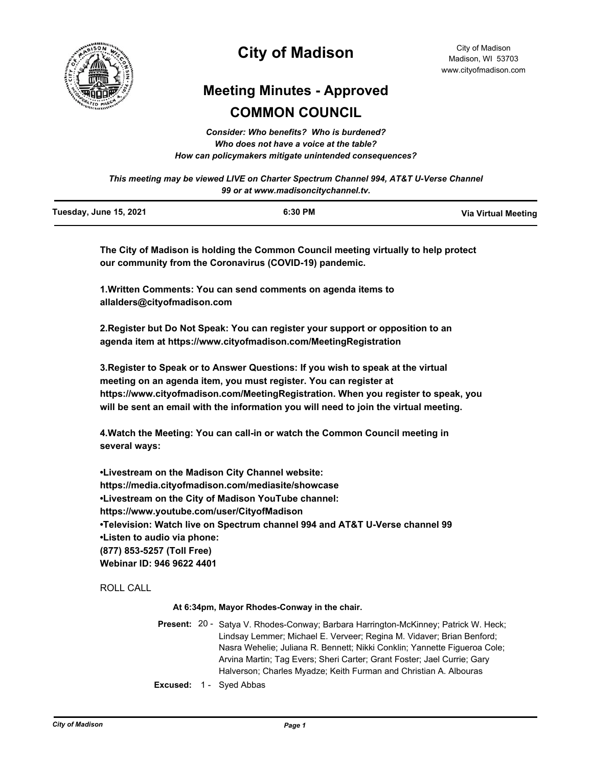

# **City of Madison**

# **Meeting Minutes - Approved COMMON COUNCIL**

*Consider: Who benefits? Who is burdened? Who does not have a voice at the table? How can policymakers mitigate unintended consequences?*

*This meeting may be viewed LIVE on Charter Spectrum Channel 994, AT&T U-Verse Channel 99 or at www.madisoncitychannel.tv.*

| Tuesday, June 15, 2021 | 6:30 PM | <b>Via Virtual Meeting</b> |
|------------------------|---------|----------------------------|
|                        |         |                            |

**The City of Madison is holding the Common Council meeting virtually to help protect our community from the Coronavirus (COVID-19) pandemic.**

**1.Written Comments: You can send comments on agenda items to allalders@cityofmadison.com**

**2.Register but Do Not Speak: You can register your support or opposition to an agenda item at https://www.cityofmadison.com/MeetingRegistration**

**3.Register to Speak or to Answer Questions: If you wish to speak at the virtual meeting on an agenda item, you must register. You can register at https://www.cityofmadison.com/MeetingRegistration. When you register to speak, you will be sent an email with the information you will need to join the virtual meeting.**

**4.Watch the Meeting: You can call-in or watch the Common Council meeting in several ways:**

**•Livestream on the Madison City Channel website: https://media.cityofmadison.com/mediasite/showcase •Livestream on the City of Madison YouTube channel: https://www.youtube.com/user/CityofMadison •Television: Watch live on Spectrum channel 994 and AT&T U-Verse channel 99 •Listen to audio via phone: (877) 853-5257 (Toll Free) Webinar ID: 946 9622 4401**

ROLL CALL

**At 6:34pm, Mayor Rhodes-Conway in the chair.**

Present: 20 - Satya V. Rhodes-Conway; Barbara Harrington-McKinney; Patrick W. Heck; Lindsay Lemmer; Michael E. Verveer; Regina M. Vidaver; Brian Benford; Nasra Wehelie; Juliana R. Bennett; Nikki Conklin; Yannette Figueroa Cole; Arvina Martin; Tag Evers; Sheri Carter; Grant Foster; Jael Currie; Gary Halverson; Charles Myadze; Keith Furman and Christian A. Albouras

**Excused:** 1 - Syed Abbas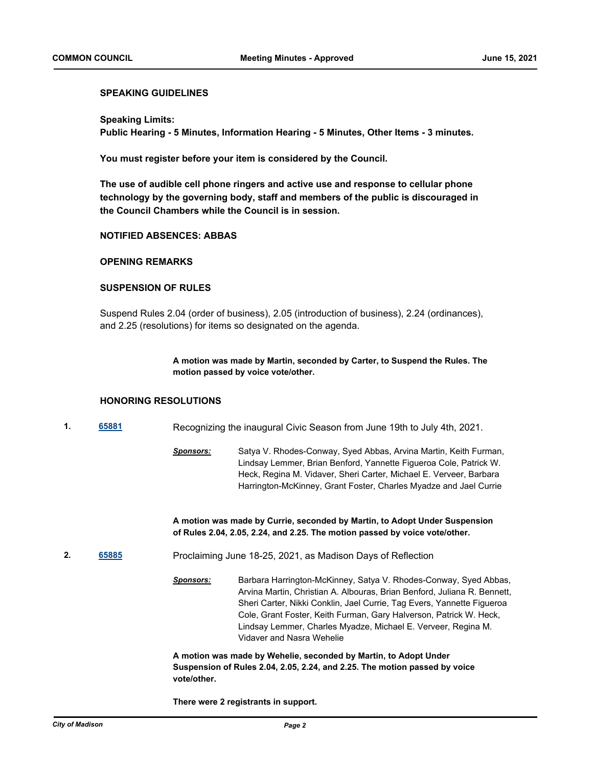### **SPEAKING GUIDELINES**

**Speaking Limits: Public Hearing - 5 Minutes, Information Hearing - 5 Minutes, Other Items - 3 minutes.**

**You must register before your item is considered by the Council.**

**The use of audible cell phone ringers and active use and response to cellular phone technology by the governing body, staff and members of the public is discouraged in the Council Chambers while the Council is in session.**

### **NOTIFIED ABSENCES: ABBAS**

### **OPENING REMARKS**

## **SUSPENSION OF RULES**

Suspend Rules 2.04 (order of business), 2.05 (introduction of business), 2.24 (ordinances), and 2.25 (resolutions) for items so designated on the agenda.

> **A motion was made by Martin, seconded by Carter, to Suspend the Rules. The motion passed by voice vote/other.**

### **HONORING RESOLUTIONS**

**1. [65881](http://madison.legistar.com/gateway.aspx?m=l&id=/matter.aspx?key=77072)** Recognizing the inaugural Civic Season from June 19th to July 4th, 2021.

*Sponsors:* Satya V. Rhodes-Conway, Syed Abbas, Arvina Martin, Keith Furman, Lindsay Lemmer, Brian Benford, Yannette Figueroa Cole, Patrick W. Heck, Regina M. Vidaver, Sheri Carter, Michael E. Verveer, Barbara Harrington-McKinney, Grant Foster, Charles Myadze and Jael Currie

**A motion was made by Currie, seconded by Martin, to Adopt Under Suspension of Rules 2.04, 2.05, 2.24, and 2.25. The motion passed by voice vote/other.**

**2. [65885](http://madison.legistar.com/gateway.aspx?m=l&id=/matter.aspx?key=77076)** Proclaiming June 18-25, 2021, as Madison Days of Reflection

*Sponsors:* Barbara Harrington-McKinney, Satya V. Rhodes-Conway, Syed Abbas, Arvina Martin, Christian A. Albouras, Brian Benford, Juliana R. Bennett, Sheri Carter, Nikki Conklin, Jael Currie, Tag Evers, Yannette Figueroa Cole, Grant Foster, Keith Furman, Gary Halverson, Patrick W. Heck, Lindsay Lemmer, Charles Myadze, Michael E. Verveer, Regina M. Vidaver and Nasra Wehelie

**A motion was made by Wehelie, seconded by Martin, to Adopt Under Suspension of Rules 2.04, 2.05, 2.24, and 2.25. The motion passed by voice vote/other.**

**There were 2 registrants in support.**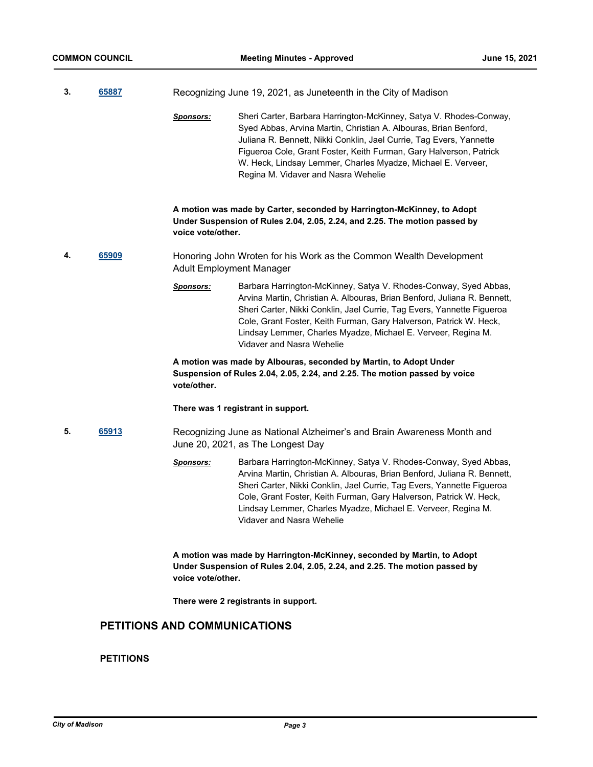| 3. | 65887 |                                 | Recognizing June 19, 2021, as Juneteenth in the City of Madison                                                                                                                                                                                                                                                                                                                            |
|----|-------|---------------------------------|--------------------------------------------------------------------------------------------------------------------------------------------------------------------------------------------------------------------------------------------------------------------------------------------------------------------------------------------------------------------------------------------|
|    |       | <b>Sponsors:</b>                | Sheri Carter, Barbara Harrington-McKinney, Satya V. Rhodes-Conway,<br>Syed Abbas, Arvina Martin, Christian A. Albouras, Brian Benford,<br>Juliana R. Bennett, Nikki Conklin, Jael Currie, Tag Evers, Yannette<br>Figueroa Cole, Grant Foster, Keith Furman, Gary Halverson, Patrick<br>W. Heck, Lindsay Lemmer, Charles Myadze, Michael E. Verveer,<br>Regina M. Vidaver and Nasra Wehelie |
|    |       | voice vote/other.               | A motion was made by Carter, seconded by Harrington-McKinney, to Adopt<br>Under Suspension of Rules 2.04, 2.05, 2.24, and 2.25. The motion passed by                                                                                                                                                                                                                                       |
| 4. | 65909 | <b>Adult Employment Manager</b> | Honoring John Wroten for his Work as the Common Wealth Development                                                                                                                                                                                                                                                                                                                         |
|    |       | <b>Sponsors:</b>                | Barbara Harrington-McKinney, Satya V. Rhodes-Conway, Syed Abbas,<br>Arvina Martin, Christian A. Albouras, Brian Benford, Juliana R. Bennett,<br>Sheri Carter, Nikki Conklin, Jael Currie, Tag Evers, Yannette Figueroa<br>Cole, Grant Foster, Keith Furman, Gary Halverson, Patrick W. Heck,<br>Lindsay Lemmer, Charles Myadze, Michael E. Verveer, Regina M.<br>Vidaver and Nasra Wehelie |
|    |       | vote/other.                     | A motion was made by Albouras, seconded by Martin, to Adopt Under<br>Suspension of Rules 2.04, 2.05, 2.24, and 2.25. The motion passed by voice                                                                                                                                                                                                                                            |
|    |       |                                 | There was 1 registrant in support.                                                                                                                                                                                                                                                                                                                                                         |
| 5. | 65913 |                                 | Recognizing June as National Alzheimer's and Brain Awareness Month and<br>June 20, 2021, as The Longest Day                                                                                                                                                                                                                                                                                |
|    |       | <u>Sponsors:</u>                | Barbara Harrington-McKinney, Satya V. Rhodes-Conway, Syed Abbas,<br>Arvina Martin, Christian A. Albouras, Brian Benford, Juliana R. Bennett,<br>Sheri Carter, Nikki Conklin, Jael Currie, Tag Evers, Yannette Figueroa<br>Cole, Grant Foster, Keith Furman, Gary Halverson, Patrick W. Heck,<br>Lindsay Lemmer, Charles Myadze, Michael E. Verveer, Regina M.<br>Vidaver and Nasra Wehelie |
|    |       | voice vote/other.               | A motion was made by Harrington-McKinney, seconded by Martin, to Adopt<br>Under Suspension of Rules 2.04, 2.05, 2.24, and 2.25. The motion passed by                                                                                                                                                                                                                                       |
|    |       |                                 | There were 2 registrants in support.                                                                                                                                                                                                                                                                                                                                                       |

# **PETITIONS AND COMMUNICATIONS**

# **PETITIONS**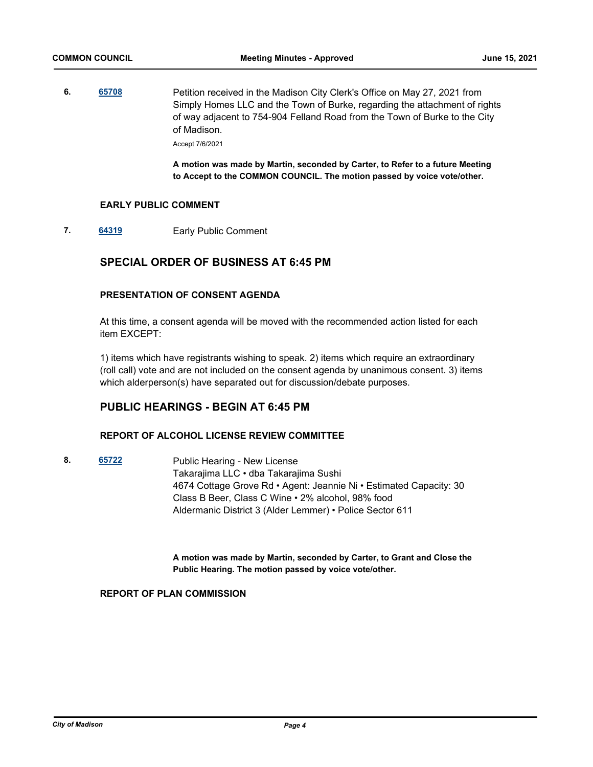**6. [65708](http://madison.legistar.com/gateway.aspx?m=l&id=/matter.aspx?key=76912)** Petition received in the Madison City Clerk's Office on May 27, 2021 from Simply Homes LLC and the Town of Burke, regarding the attachment of rights of way adjacent to 754-904 Felland Road from the Town of Burke to the City of Madison.

Accept 7/6/2021

**A motion was made by Martin, seconded by Carter, to Refer to a future Meeting to Accept to the COMMON COUNCIL. The motion passed by voice vote/other.**

### **EARLY PUBLIC COMMENT**

**7. [64319](http://madison.legistar.com/gateway.aspx?m=l&id=/matter.aspx?key=74665)** Early Public Comment

# **SPECIAL ORDER OF BUSINESS AT 6:45 PM**

## **PRESENTATION OF CONSENT AGENDA**

At this time, a consent agenda will be moved with the recommended action listed for each item EXCEPT:

1) items which have registrants wishing to speak. 2) items which require an extraordinary (roll call) vote and are not included on the consent agenda by unanimous consent. 3) items which alderperson(s) have separated out for discussion/debate purposes.

# **PUBLIC HEARINGS - BEGIN AT 6:45 PM**

### **REPORT OF ALCOHOL LICENSE REVIEW COMMITTEE**

**8. [65722](http://madison.legistar.com/gateway.aspx?m=l&id=/matter.aspx?key=76926)** Public Hearing - New License Takarajima LLC • dba Takarajima Sushi 4674 Cottage Grove Rd • Agent: Jeannie Ni • Estimated Capacity: 30 Class B Beer, Class C Wine • 2% alcohol, 98% food Aldermanic District 3 (Alder Lemmer) • Police Sector 611

> **A motion was made by Martin, seconded by Carter, to Grant and Close the Public Hearing. The motion passed by voice vote/other.**

### **REPORT OF PLAN COMMISSION**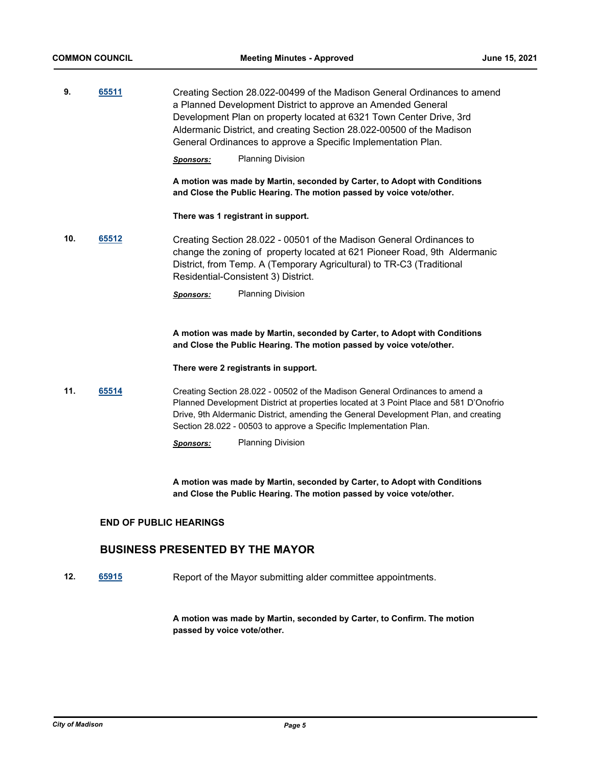| 9. | 65511 | Creating Section 28.022-00499 of the Madison General Ordinances to amend |
|----|-------|--------------------------------------------------------------------------|
|    |       | a Planned Development District to approve an Amended General             |
|    |       | Development Plan on property located at 6321 Town Center Drive, 3rd      |
|    |       | Aldermanic District, and creating Section 28.022-00500 of the Madison    |
|    |       | General Ordinances to approve a Specific Implementation Plan.            |
|    |       |                                                                          |

*Sponsors:* Planning Division

**A motion was made by Martin, seconded by Carter, to Adopt with Conditions and Close the Public Hearing. The motion passed by voice vote/other.**

**There was 1 registrant in support.**

**10. [65512](http://madison.legistar.com/gateway.aspx?m=l&id=/matter.aspx?key=76732)** Creating Section 28.022 - 00501 of the Madison General Ordinances to change the zoning of property located at 621 Pioneer Road, 9th Aldermanic District, from Temp. A (Temporary Agricultural) to TR-C3 (Traditional Residential-Consistent 3) District.

*Sponsors:* Planning Division

**A motion was made by Martin, seconded by Carter, to Adopt with Conditions and Close the Public Hearing. The motion passed by voice vote/other.**

#### **There were 2 registrants in support.**

- **11. [65514](http://madison.legistar.com/gateway.aspx?m=l&id=/matter.aspx?key=76734)** Creating Section 28.022 00502 of the Madison General Ordinances to amend a Planned Development District at properties located at 3 Point Place and 581 D'Onofrio Drive, 9th Aldermanic District, amending the General Development Plan, and creating Section 28.022 - 00503 to approve a Specific Implementation Plan.
	- *Sponsors:* Planning Division

**A motion was made by Martin, seconded by Carter, to Adopt with Conditions and Close the Public Hearing. The motion passed by voice vote/other.**

### **END OF PUBLIC HEARINGS**

### **BUSINESS PRESENTED BY THE MAYOR**

**12. [65915](http://madison.legistar.com/gateway.aspx?m=l&id=/matter.aspx?key=77104)** Report of the Mayor submitting alder committee appointments.

**A motion was made by Martin, seconded by Carter, to Confirm. The motion passed by voice vote/other.**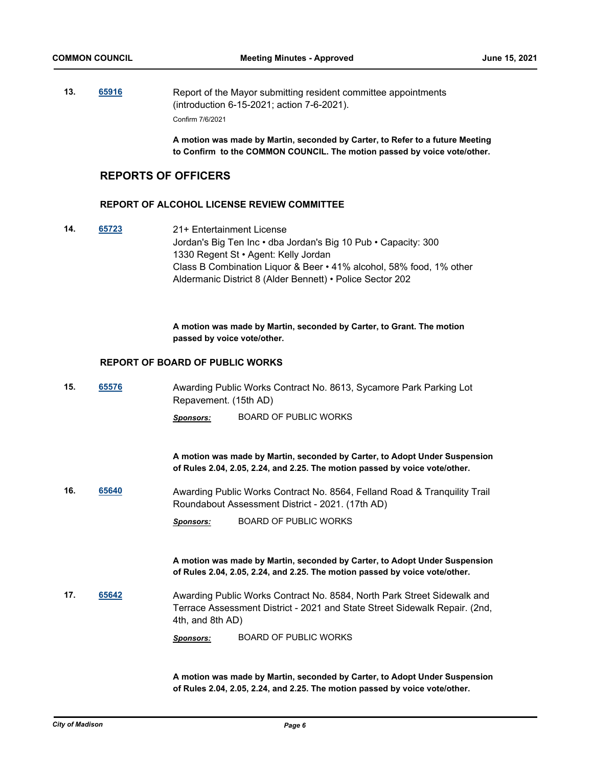**13. [65916](http://madison.legistar.com/gateway.aspx?m=l&id=/matter.aspx?key=77105)** Report of the Mayor submitting resident committee appointments (introduction 6-15-2021; action 7-6-2021). Confirm 7/6/2021

> **A motion was made by Martin, seconded by Carter, to Refer to a future Meeting to Confirm to the COMMON COUNCIL. The motion passed by voice vote/other.**

# **REPORTS OF OFFICERS**

### **REPORT OF ALCOHOL LICENSE REVIEW COMMITTEE**

**14. [65723](http://madison.legistar.com/gateway.aspx?m=l&id=/matter.aspx?key=76927)** 21+ Entertainment License Jordan's Big Ten Inc • dba Jordan's Big 10 Pub • Capacity: 300 1330 Regent St • Agent: Kelly Jordan Class B Combination Liquor & Beer • 41% alcohol, 58% food, 1% other Aldermanic District 8 (Alder Bennett) • Police Sector 202

> **A motion was made by Martin, seconded by Carter, to Grant. The motion passed by voice vote/other.**

### **REPORT OF BOARD OF PUBLIC WORKS**

**15. [65576](http://madison.legistar.com/gateway.aspx?m=l&id=/matter.aspx?key=76780)** Awarding Public Works Contract No. 8613, Sycamore Park Parking Lot Repavement. (15th AD)

*Sponsors:* BOARD OF PUBLIC WORKS

**A motion was made by Martin, seconded by Carter, to Adopt Under Suspension of Rules 2.04, 2.05, 2.24, and 2.25. The motion passed by voice vote/other.**

**16. [65640](http://madison.legistar.com/gateway.aspx?m=l&id=/matter.aspx?key=76844)** Awarding Public Works Contract No. 8564, Felland Road & Tranquility Trail Roundabout Assessment District - 2021. (17th AD)

*Sponsors:* BOARD OF PUBLIC WORKS

**A motion was made by Martin, seconded by Carter, to Adopt Under Suspension of Rules 2.04, 2.05, 2.24, and 2.25. The motion passed by voice vote/other.**

**17. [65642](http://madison.legistar.com/gateway.aspx?m=l&id=/matter.aspx?key=76846)** Awarding Public Works Contract No. 8584, North Park Street Sidewalk and Terrace Assessment District - 2021 and State Street Sidewalk Repair. (2nd, 4th, and 8th AD)

*Sponsors:* BOARD OF PUBLIC WORKS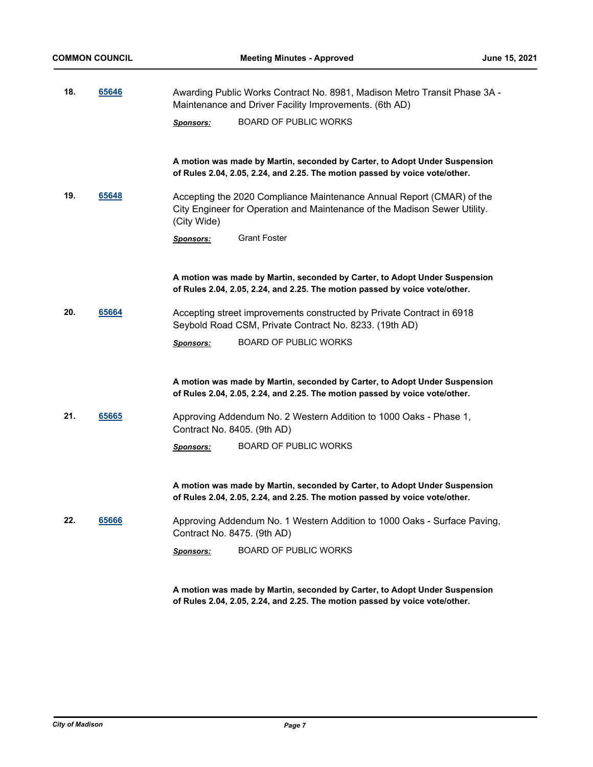| 18. | 65646 | Awarding Public Works Contract No. 8981, Madison Metro Transit Phase 3A -<br>Maintenance and Driver Facility Improvements. (6th AD)                               |  |
|-----|-------|-------------------------------------------------------------------------------------------------------------------------------------------------------------------|--|
|     |       | <b>BOARD OF PUBLIC WORKS</b><br><b>Sponsors:</b>                                                                                                                  |  |
|     |       | A motion was made by Martin, seconded by Carter, to Adopt Under Suspension<br>of Rules 2.04, 2.05, 2.24, and 2.25. The motion passed by voice vote/other.         |  |
| 19. | 65648 | Accepting the 2020 Compliance Maintenance Annual Report (CMAR) of the<br>City Engineer for Operation and Maintenance of the Madison Sewer Utility.<br>(City Wide) |  |
|     |       | <b>Grant Foster</b><br><u>Sponsors:</u>                                                                                                                           |  |
|     |       | A motion was made by Martin, seconded by Carter, to Adopt Under Suspension<br>of Rules 2.04, 2.05, 2.24, and 2.25. The motion passed by voice vote/other.         |  |
| 20. | 65664 | Accepting street improvements constructed by Private Contract in 6918<br>Seybold Road CSM, Private Contract No. 8233. (19th AD)                                   |  |
|     |       | <b>BOARD OF PUBLIC WORKS</b><br><b>Sponsors:</b>                                                                                                                  |  |
|     |       | A motion was made by Martin, seconded by Carter, to Adopt Under Suspension<br>of Rules 2.04, 2.05, 2.24, and 2.25. The motion passed by voice vote/other.         |  |
| 21. | 65665 | Approving Addendum No. 2 Western Addition to 1000 Oaks - Phase 1,<br>Contract No. 8405. (9th AD)                                                                  |  |
|     |       | <b>BOARD OF PUBLIC WORKS</b><br><b>Sponsors:</b>                                                                                                                  |  |
|     |       | A motion was made by Martin, seconded by Carter, to Adopt Under Suspension<br>of Rules 2.04, 2.05, 2.24, and 2.25. The motion passed by voice vote/other.         |  |
| 22. | 65666 | Approving Addendum No. 1 Western Addition to 1000 Oaks - Surface Paving,<br>Contract No. 8475. (9th AD)                                                           |  |
|     |       | <b>BOARD OF PUBLIC WORKS</b><br><b>Sponsors:</b>                                                                                                                  |  |
|     |       |                                                                                                                                                                   |  |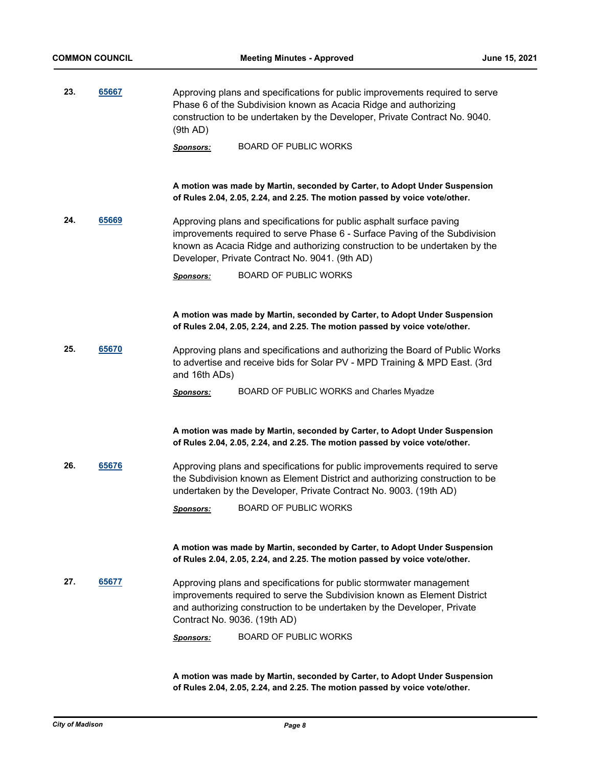| 23. | 65667 | Approving plans and specifications for public improvements required to serve<br>Phase 6 of the Subdivision known as Acacia Ridge and authorizing<br>construction to be undertaken by the Developer, Private Contract No. 9040.<br>(9th AD)                                         |  |
|-----|-------|------------------------------------------------------------------------------------------------------------------------------------------------------------------------------------------------------------------------------------------------------------------------------------|--|
|     |       | <b>BOARD OF PUBLIC WORKS</b><br><b>Sponsors:</b>                                                                                                                                                                                                                                   |  |
|     |       | A motion was made by Martin, seconded by Carter, to Adopt Under Suspension                                                                                                                                                                                                         |  |
|     |       | of Rules 2.04, 2.05, 2.24, and 2.25. The motion passed by voice vote/other.                                                                                                                                                                                                        |  |
| 24. | 65669 | Approving plans and specifications for public asphalt surface paving<br>improvements required to serve Phase 6 - Surface Paving of the Subdivision<br>known as Acacia Ridge and authorizing construction to be undertaken by the<br>Developer, Private Contract No. 9041. (9th AD) |  |
|     |       | <b>BOARD OF PUBLIC WORKS</b><br><b>Sponsors:</b>                                                                                                                                                                                                                                   |  |
|     |       |                                                                                                                                                                                                                                                                                    |  |
|     |       | A motion was made by Martin, seconded by Carter, to Adopt Under Suspension<br>of Rules 2.04, 2.05, 2.24, and 2.25. The motion passed by voice vote/other.                                                                                                                          |  |
| 25. | 65670 | Approving plans and specifications and authorizing the Board of Public Works<br>to advertise and receive bids for Solar PV - MPD Training & MPD East. (3rd<br>and 16th ADs)                                                                                                        |  |
|     |       | BOARD OF PUBLIC WORKS and Charles Myadze<br><b>Sponsors:</b>                                                                                                                                                                                                                       |  |
|     |       |                                                                                                                                                                                                                                                                                    |  |
|     |       | A motion was made by Martin, seconded by Carter, to Adopt Under Suspension<br>of Rules 2.04, 2.05, 2.24, and 2.25. The motion passed by voice vote/other.                                                                                                                          |  |
| 26. | 65676 | Approving plans and specifications for public improvements required to serve<br>the Subdivision known as Element District and authorizing construction to be<br>undertaken by the Developer, Private Contract No. 9003. (19th AD)                                                  |  |
|     |       | <b>BOARD OF PUBLIC WORKS</b><br><u>Sponsors:</u>                                                                                                                                                                                                                                   |  |
|     |       | A motion was made by Martin, seconded by Carter, to Adopt Under Suspension<br>of Rules 2.04, 2.05, 2.24, and 2.25. The motion passed by voice vote/other.                                                                                                                          |  |
| 27. | 65677 | Approving plans and specifications for public stormwater management<br>improvements required to serve the Subdivision known as Element District<br>and authorizing construction to be undertaken by the Developer, Private<br>Contract No. 9036. (19th AD)                         |  |
|     |       | <b>BOARD OF PUBLIC WORKS</b><br><b>Sponsors:</b>                                                                                                                                                                                                                                   |  |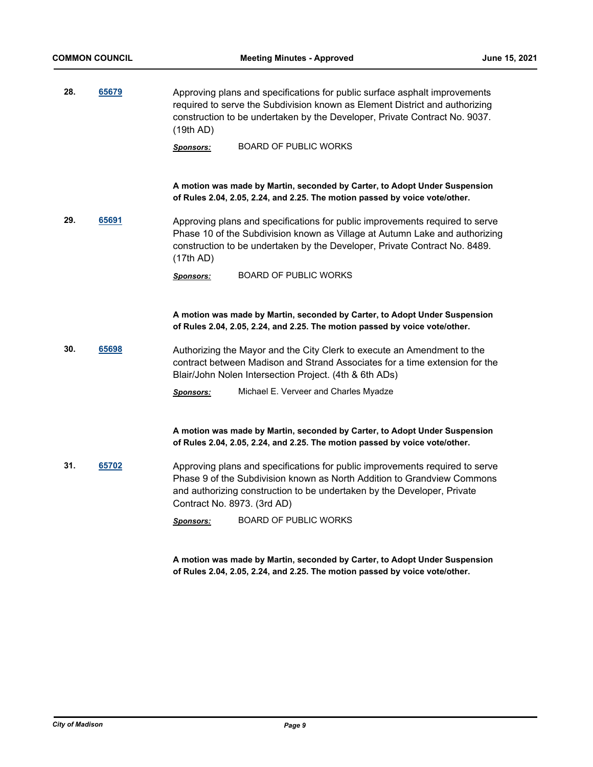**28. [65679](http://madison.legistar.com/gateway.aspx?m=l&id=/matter.aspx?key=76883)** Approving plans and specifications for public surface asphalt improvements required to serve the Subdivision known as Element District and authorizing construction to be undertaken by the Developer, Private Contract No. 9037. (19th AD)

*Sponsors:* BOARD OF PUBLIC WORKS

**A motion was made by Martin, seconded by Carter, to Adopt Under Suspension of Rules 2.04, 2.05, 2.24, and 2.25. The motion passed by voice vote/other.**

**29. [65691](http://madison.legistar.com/gateway.aspx?m=l&id=/matter.aspx?key=76895)** Approving plans and specifications for public improvements required to serve Phase 10 of the Subdivision known as Village at Autumn Lake and authorizing construction to be undertaken by the Developer, Private Contract No. 8489. (17th AD)

*Sponsors:* BOARD OF PUBLIC WORKS

**A motion was made by Martin, seconded by Carter, to Adopt Under Suspension of Rules 2.04, 2.05, 2.24, and 2.25. The motion passed by voice vote/other.**

**30. [65698](http://madison.legistar.com/gateway.aspx?m=l&id=/matter.aspx?key=76902)** Authorizing the Mayor and the City Clerk to execute an Amendment to the contract between Madison and Strand Associates for a time extension for the Blair/John Nolen Intersection Project. (4th & 6th ADs)

*Sponsors:* Michael E. Verveer and Charles Myadze

**A motion was made by Martin, seconded by Carter, to Adopt Under Suspension of Rules 2.04, 2.05, 2.24, and 2.25. The motion passed by voice vote/other.**

**31. [65702](http://madison.legistar.com/gateway.aspx?m=l&id=/matter.aspx?key=76906)** Approving plans and specifications for public improvements required to serve Phase 9 of the Subdivision known as North Addition to Grandview Commons and authorizing construction to be undertaken by the Developer, Private Contract No. 8973. (3rd AD)

*Sponsors:* BOARD OF PUBLIC WORKS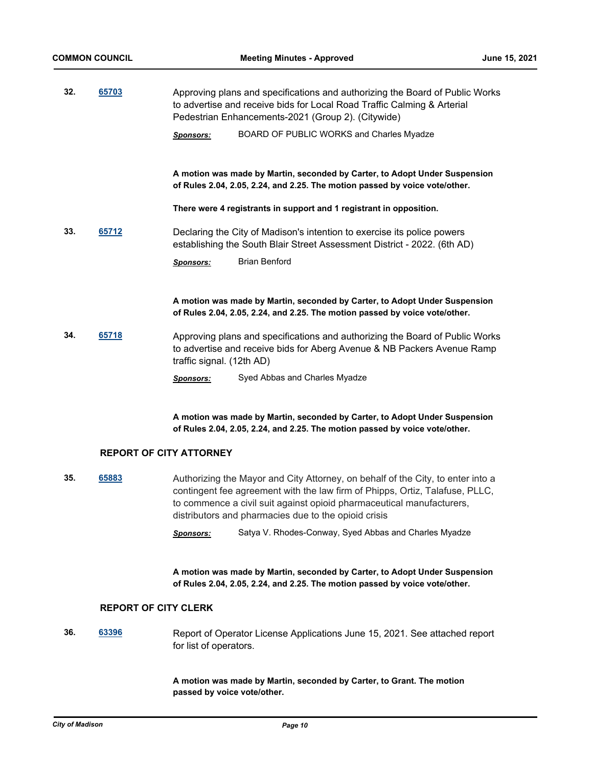| 32. | 65703 | Approving plans and specifications and authorizing the Board of Public Works<br>to advertise and receive bids for Local Road Traffic Calming & Arterial<br>Pedestrian Enhancements-2021 (Group 2). (Citywide) |  |
|-----|-------|---------------------------------------------------------------------------------------------------------------------------------------------------------------------------------------------------------------|--|
|     |       | BOARD OF PUBLIC WORKS and Charles Myadze<br><b>Sponsors:</b>                                                                                                                                                  |  |
|     |       | A motion was made by Martin, seconded by Carter, to Adopt Under Suspension<br>of Rules 2.04, 2.05, 2.24, and 2.25. The motion passed by voice vote/other.                                                     |  |
|     |       | There were 4 registrants in support and 1 registrant in opposition.                                                                                                                                           |  |
| 33. | 65712 | Declaring the City of Madison's intention to exercise its police powers<br>establishing the South Blair Street Assessment District - 2022. (6th AD)                                                           |  |
|     |       | <b>Brian Benford</b><br><b>Sponsors:</b>                                                                                                                                                                      |  |
|     |       | A motion was made by Martin, seconded by Carter, to Adopt Under Suspension                                                                                                                                    |  |

**34. [65718](http://madison.legistar.com/gateway.aspx?m=l&id=/matter.aspx?key=76922)** Approving plans and specifications and authorizing the Board of Public Works to advertise and receive bids for Aberg Avenue & NB Packers Avenue Ramp traffic signal. (12th AD)

*Sponsors:* Syed Abbas and Charles Myadze

**A motion was made by Martin, seconded by Carter, to Adopt Under Suspension of Rules 2.04, 2.05, 2.24, and 2.25. The motion passed by voice vote/other.**

**of Rules 2.04, 2.05, 2.24, and 2.25. The motion passed by voice vote/other.**

### **REPORT OF CITY ATTORNEY**

- **35. [65883](http://madison.legistar.com/gateway.aspx?m=l&id=/matter.aspx?key=77074)** Authorizing the Mayor and City Attorney, on behalf of the City, to enter into a contingent fee agreement with the law firm of Phipps, Ortiz, Talafuse, PLLC, to commence a civil suit against opioid pharmaceutical manufacturers, distributors and pharmacies due to the opioid crisis
	- *Sponsors:* Satya V. Rhodes-Conway, Syed Abbas and Charles Myadze

**A motion was made by Martin, seconded by Carter, to Adopt Under Suspension of Rules 2.04, 2.05, 2.24, and 2.25. The motion passed by voice vote/other.**

### **REPORT OF CITY CLERK**

**36. [63396](http://madison.legistar.com/gateway.aspx?m=l&id=/matter.aspx?key=73898)** Report of Operator License Applications June 15, 2021. See attached report for list of operators.

> **A motion was made by Martin, seconded by Carter, to Grant. The motion passed by voice vote/other.**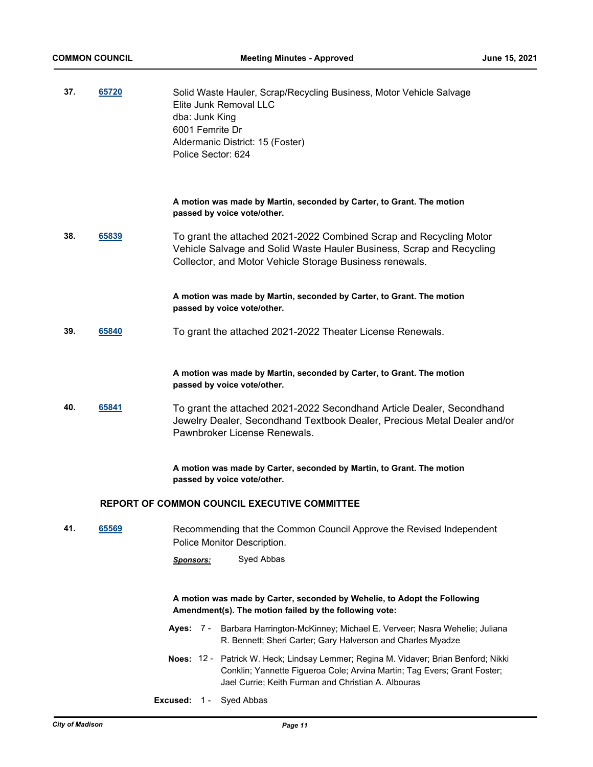| 37. | 65720 | Solid Waste Hauler, Scrap/Recycling Business, Motor Vehicle Salvage<br>Elite Junk Removal LLC<br>dba: Junk King<br>6001 Femrite Dr<br>Aldermanic District: 15 (Foster)<br>Police Sector: 624                           |  |  |
|-----|-------|------------------------------------------------------------------------------------------------------------------------------------------------------------------------------------------------------------------------|--|--|
|     |       | A motion was made by Martin, seconded by Carter, to Grant. The motion<br>passed by voice vote/other.                                                                                                                   |  |  |
| 38. | 65839 | To grant the attached 2021-2022 Combined Scrap and Recycling Motor<br>Vehicle Salvage and Solid Waste Hauler Business, Scrap and Recycling<br>Collector, and Motor Vehicle Storage Business renewals.                  |  |  |
|     |       | A motion was made by Martin, seconded by Carter, to Grant. The motion<br>passed by voice vote/other.                                                                                                                   |  |  |
| 39. | 65840 | To grant the attached 2021-2022 Theater License Renewals.                                                                                                                                                              |  |  |
|     |       | A motion was made by Martin, seconded by Carter, to Grant. The motion<br>passed by voice vote/other.                                                                                                                   |  |  |
| 40. | 65841 | To grant the attached 2021-2022 Secondhand Article Dealer, Secondhand<br>Jewelry Dealer, Secondhand Textbook Dealer, Precious Metal Dealer and/or<br>Pawnbroker License Renewals.                                      |  |  |
|     |       | A motion was made by Carter, seconded by Martin, to Grant. The motion<br>passed by voice vote/other.                                                                                                                   |  |  |
|     |       | <b>REPORT OF COMMON COUNCIL EXECUTIVE COMMITTEE</b>                                                                                                                                                                    |  |  |
| 41. | 65569 | Recommending that the Common Council Approve the Revised Independent<br>Police Monitor Description.                                                                                                                    |  |  |
|     |       | Syed Abbas<br><u>Sponsors:</u>                                                                                                                                                                                         |  |  |
|     |       | A motion was made by Carter, seconded by Wehelie, to Adopt the Following<br>Amendment(s). The motion failed by the following vote:                                                                                     |  |  |
|     |       | Ayes: 7 - Barbara Harrington-McKinney; Michael E. Verveer; Nasra Wehelie; Juliana<br>R. Bennett; Sheri Carter; Gary Halverson and Charles Myadze                                                                       |  |  |
|     |       | Noes: 12 - Patrick W. Heck; Lindsay Lemmer; Regina M. Vidaver; Brian Benford; Nikki<br>Conklin; Yannette Figueroa Cole; Arvina Martin; Tag Evers; Grant Foster;<br>Jael Currie; Keith Furman and Christian A. Albouras |  |  |
|     |       | <b>Excused: 1 - Syed Abbas</b>                                                                                                                                                                                         |  |  |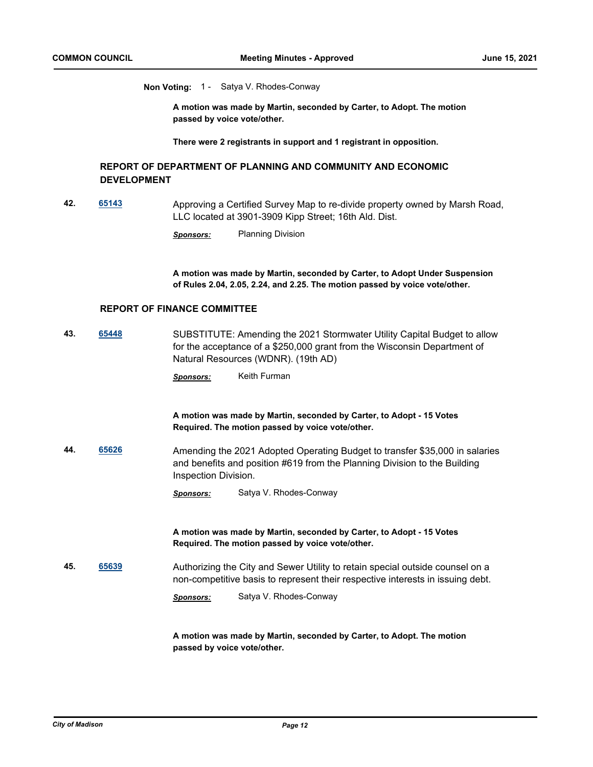**Non Voting:** 1 - Satya V. Rhodes-Conway

**A motion was made by Martin, seconded by Carter, to Adopt. The motion passed by voice vote/other.**

**There were 2 registrants in support and 1 registrant in opposition.**

### **REPORT OF DEPARTMENT OF PLANNING AND COMMUNITY AND ECONOMIC DEVELOPMENT**

**42. [65143](http://madison.legistar.com/gateway.aspx?m=l&id=/matter.aspx?key=76398)** Approving a Certified Survey Map to re-divide property owned by Marsh Road, LLC located at 3901-3909 Kipp Street; 16th Ald. Dist.

*Sponsors:* Planning Division

**A motion was made by Martin, seconded by Carter, to Adopt Under Suspension of Rules 2.04, 2.05, 2.24, and 2.25. The motion passed by voice vote/other.**

### **REPORT OF FINANCE COMMITTEE**

**43. [65448](http://madison.legistar.com/gateway.aspx?m=l&id=/matter.aspx?key=76669)** SUBSTITUTE: Amending the 2021 Stormwater Utility Capital Budget to allow for the acceptance of a \$250,000 grant from the Wisconsin Department of Natural Resources (WDNR). (19th AD)

*Sponsors:* Keith Furman

**A motion was made by Martin, seconded by Carter, to Adopt - 15 Votes Required. The motion passed by voice vote/other.**

**44. [65626](http://madison.legistar.com/gateway.aspx?m=l&id=/matter.aspx?key=76830)** Amending the 2021 Adopted Operating Budget to transfer \$35,000 in salaries and benefits and position #619 from the Planning Division to the Building Inspection Division.

*Sponsors:* Satya V. Rhodes-Conway

**A motion was made by Martin, seconded by Carter, to Adopt - 15 Votes Required. The motion passed by voice vote/other.**

**45. [65639](http://madison.legistar.com/gateway.aspx?m=l&id=/matter.aspx?key=76843)** Authorizing the City and Sewer Utility to retain special outside counsel on a non-competitive basis to represent their respective interests in issuing debt.

*Sponsors:* Satya V. Rhodes-Conway

**A motion was made by Martin, seconded by Carter, to Adopt. The motion passed by voice vote/other.**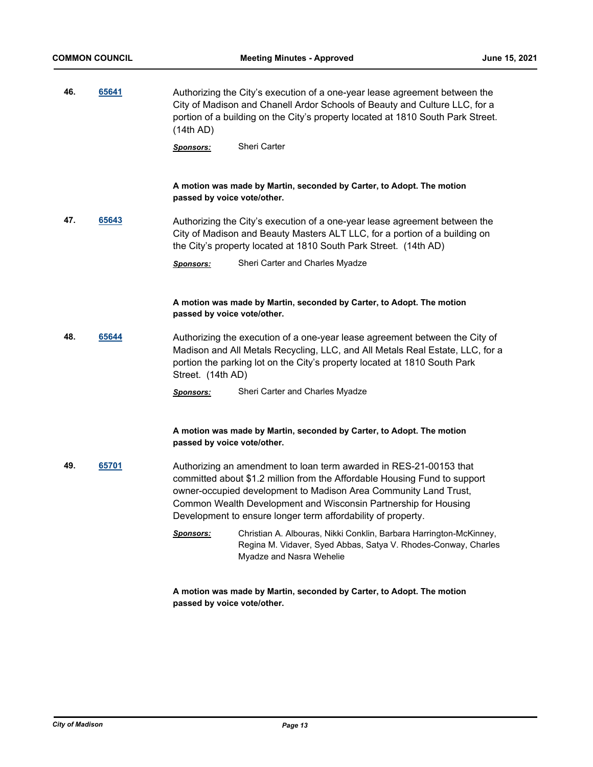| 46. | 65641 | Authorizing the City's execution of a one-year lease agreement between the<br>City of Madison and Chanell Ardor Schools of Beauty and Culture LLC, for a<br>portion of a building on the City's property located at 1810 South Park Street.<br>(14th AD) |                                                                                                                                                                                                                                                                                                                                                        |
|-----|-------|----------------------------------------------------------------------------------------------------------------------------------------------------------------------------------------------------------------------------------------------------------|--------------------------------------------------------------------------------------------------------------------------------------------------------------------------------------------------------------------------------------------------------------------------------------------------------------------------------------------------------|
|     |       | Sponsors:                                                                                                                                                                                                                                                | Sheri Carter                                                                                                                                                                                                                                                                                                                                           |
|     |       | passed by voice vote/other.                                                                                                                                                                                                                              | A motion was made by Martin, seconded by Carter, to Adopt. The motion                                                                                                                                                                                                                                                                                  |
| 47. | 65643 |                                                                                                                                                                                                                                                          | Authorizing the City's execution of a one-year lease agreement between the<br>City of Madison and Beauty Masters ALT LLC, for a portion of a building on<br>the City's property located at 1810 South Park Street. (14th AD)                                                                                                                           |
|     |       | <b>Sponsors:</b>                                                                                                                                                                                                                                         | Sheri Carter and Charles Myadze                                                                                                                                                                                                                                                                                                                        |
|     |       | passed by voice vote/other.                                                                                                                                                                                                                              | A motion was made by Martin, seconded by Carter, to Adopt. The motion                                                                                                                                                                                                                                                                                  |
| 48. | 65644 | Street. (14th AD)                                                                                                                                                                                                                                        | Authorizing the execution of a one-year lease agreement between the City of<br>Madison and All Metals Recycling, LLC, and All Metals Real Estate, LLC, for a<br>portion the parking lot on the City's property located at 1810 South Park                                                                                                              |
|     |       | <u>Sponsors:</u>                                                                                                                                                                                                                                         | Sheri Carter and Charles Myadze                                                                                                                                                                                                                                                                                                                        |
|     |       | passed by voice vote/other.                                                                                                                                                                                                                              | A motion was made by Martin, seconded by Carter, to Adopt. The motion                                                                                                                                                                                                                                                                                  |
| 49. | 65701 |                                                                                                                                                                                                                                                          | Authorizing an amendment to loan term awarded in RES-21-00153 that<br>committed about \$1.2 million from the Affordable Housing Fund to support<br>owner-occupied development to Madison Area Community Land Trust,<br>Common Wealth Development and Wisconsin Partnership for Housing<br>Development to ensure longer term affordability of property. |
|     |       | <b>Sponsors:</b>                                                                                                                                                                                                                                         | Christian A. Albouras, Nikki Conklin, Barbara Harrington-McKinney,<br>Regina M. Vidaver, Syed Abbas, Satya V. Rhodes-Conway, Charles<br>Myadze and Nasra Wehelie                                                                                                                                                                                       |
|     |       |                                                                                                                                                                                                                                                          | A motion was made by Martin, seconded by Carter, to Adopt. The motion                                                                                                                                                                                                                                                                                  |

**passed by voice vote/other.**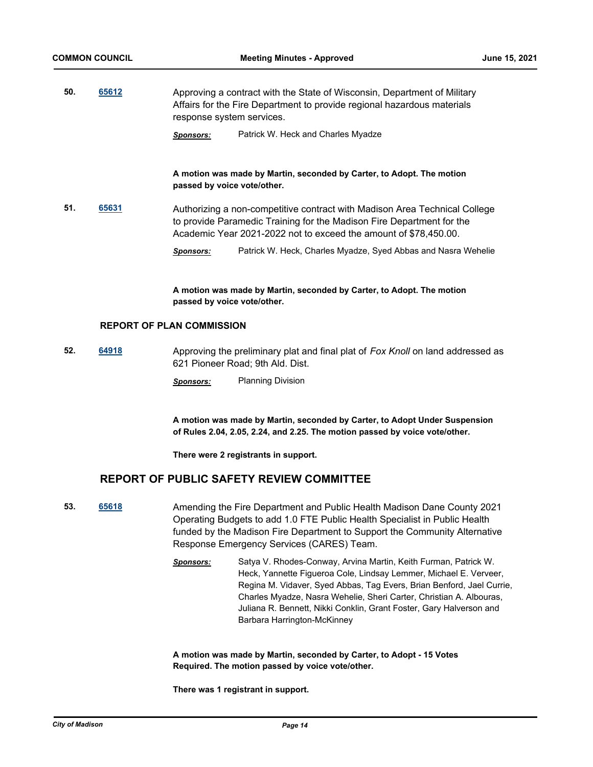**50. [65612](http://madison.legistar.com/gateway.aspx?m=l&id=/matter.aspx?key=76816)** Approving a contract with the State of Wisconsin, Department of Military Affairs for the Fire Department to provide regional hazardous materials response system services.

*Sponsors:* Patrick W. Heck and Charles Myadze

### **A motion was made by Martin, seconded by Carter, to Adopt. The motion passed by voice vote/other.**

- **51. [65631](http://madison.legistar.com/gateway.aspx?m=l&id=/matter.aspx?key=76835)** Authorizing a non-competitive contract with Madison Area Technical College to provide Paramedic Training for the Madison Fire Department for the Academic Year 2021-2022 not to exceed the amount of \$78,450.00.
	- *Sponsors:* Patrick W. Heck, Charles Myadze, Syed Abbas and Nasra Wehelie

**A motion was made by Martin, seconded by Carter, to Adopt. The motion passed by voice vote/other.**

### **REPORT OF PLAN COMMISSION**

- **52. [64918](http://madison.legistar.com/gateway.aspx?m=l&id=/matter.aspx?key=75188)** Approving the preliminary plat and final plat of *Fox Knoll* on land addressed as 621 Pioneer Road; 9th Ald. Dist.
	- *Sponsors:* Planning Division

**A motion was made by Martin, seconded by Carter, to Adopt Under Suspension of Rules 2.04, 2.05, 2.24, and 2.25. The motion passed by voice vote/other.**

**There were 2 registrants in support.**

# **REPORT OF PUBLIC SAFETY REVIEW COMMITTEE**

- **53. [65618](http://madison.legistar.com/gateway.aspx?m=l&id=/matter.aspx?key=76822)** Amending the Fire Department and Public Health Madison Dane County 2021 Operating Budgets to add 1.0 FTE Public Health Specialist in Public Health funded by the Madison Fire Department to Support the Community Alternative Response Emergency Services (CARES) Team.
	- *Sponsors:* Satya V. Rhodes-Conway, Arvina Martin, Keith Furman, Patrick W. Heck, Yannette Figueroa Cole, Lindsay Lemmer, Michael E. Verveer, Regina M. Vidaver, Syed Abbas, Tag Evers, Brian Benford, Jael Currie, Charles Myadze, Nasra Wehelie, Sheri Carter, Christian A. Albouras, Juliana R. Bennett, Nikki Conklin, Grant Foster, Gary Halverson and Barbara Harrington-McKinney

**A motion was made by Martin, seconded by Carter, to Adopt - 15 Votes Required. The motion passed by voice vote/other.**

**There was 1 registrant in support.**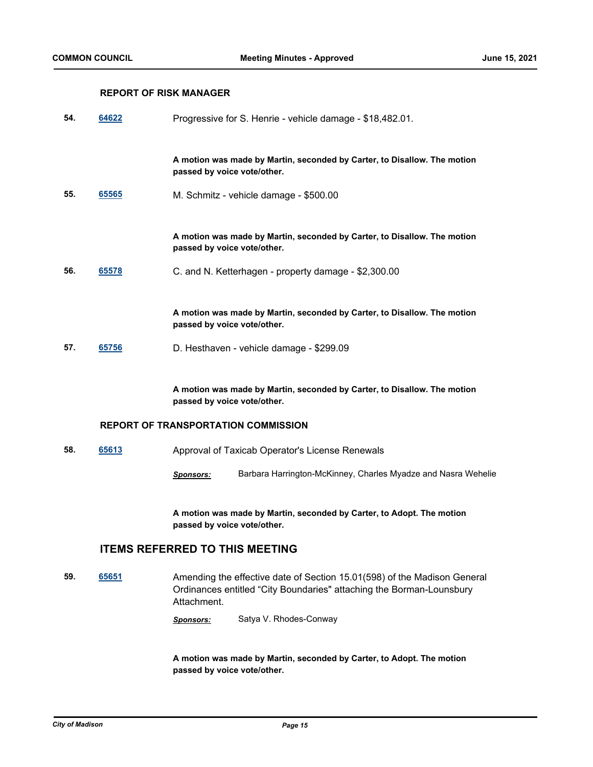## **REPORT OF RISK MANAGER**

| 54. | 64622                                      | Progressive for S. Henrie - vehicle damage - \$18,482.01.                                               |  |
|-----|--------------------------------------------|---------------------------------------------------------------------------------------------------------|--|
|     |                                            | A motion was made by Martin, seconded by Carter, to Disallow. The motion<br>passed by voice vote/other. |  |
| 55. | 65565                                      | M. Schmitz - vehicle damage - \$500.00                                                                  |  |
|     |                                            | A motion was made by Martin, seconded by Carter, to Disallow. The motion<br>passed by voice vote/other. |  |
| 56. | 65578                                      | C. and N. Ketterhagen - property damage - \$2,300.00                                                    |  |
|     |                                            | A motion was made by Martin, seconded by Carter, to Disallow. The motion<br>passed by voice vote/other. |  |
| 57. | 65756                                      | D. Hesthaven - vehicle damage - \$299.09                                                                |  |
|     |                                            | A motion was made by Martin, seconded by Carter, to Disallow. The motion<br>passed by voice vote/other. |  |
|     | <b>REPORT OF TRANSPORTATION COMMISSION</b> |                                                                                                         |  |

- **58. [65613](http://madison.legistar.com/gateway.aspx?m=l&id=/matter.aspx?key=76817)** Approval of Taxicab Operator's License Renewals
	- *Sponsors:* Barbara Harrington-McKinney, Charles Myadze and Nasra Wehelie

**A motion was made by Martin, seconded by Carter, to Adopt. The motion passed by voice vote/other.**

# **ITEMS REFERRED TO THIS MEETING**

**59. [65651](http://madison.legistar.com/gateway.aspx?m=l&id=/matter.aspx?key=76855)** Amending the effective date of Section 15.01(598) of the Madison General Ordinances entitled "City Boundaries" attaching the Borman-Lounsbury Attachment.

*Sponsors:* Satya V. Rhodes-Conway

**A motion was made by Martin, seconded by Carter, to Adopt. The motion passed by voice vote/other.**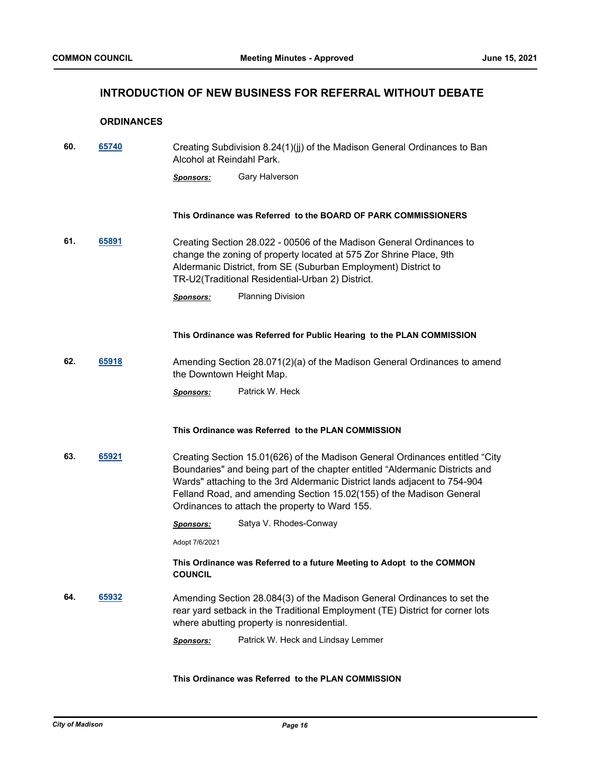# **INTRODUCTION OF NEW BUSINESS FOR REFERRAL WITHOUT DEBATE**

### **ORDINANCES**

| 60. | 65740 | Creating Subdivision 8.24(1)(jj) of the Madison General Ordinances to Ban |
|-----|-------|---------------------------------------------------------------------------|
|     |       | Alcohol at Reindahl Park.                                                 |

*Sponsors:* Gary Halverson

### **This Ordinance was Referred to the BOARD OF PARK COMMISSIONERS**

**61. [65891](http://madison.legistar.com/gateway.aspx?m=l&id=/matter.aspx?key=77080)** Creating Section 28.022 - 00506 of the Madison General Ordinances to change the zoning of property located at 575 Zor Shrine Place, 9th Aldermanic District, from SE (Suburban Employment) District to TR-U2(Traditional Residential-Urban 2) District.

### **This Ordinance was Referred for Public Hearing to the PLAN COMMISSION**

**62. [65918](http://madison.legistar.com/gateway.aspx?m=l&id=/matter.aspx?key=77107)** Amending Section 28.071(2)(a) of the Madison General Ordinances to amend the Downtown Height Map.

*Sponsors:* Patrick W. Heck

### **This Ordinance was Referred to the PLAN COMMISSION**

**63. [65921](http://madison.legistar.com/gateway.aspx?m=l&id=/matter.aspx?key=77110)** Creating Section 15.01(626) of the Madison General Ordinances entitled "City Boundaries" and being part of the chapter entitled "Aldermanic Districts and Wards" attaching to the 3rd Aldermanic District lands adjacent to 754-904 Felland Road, and amending Section 15.02(155) of the Madison General Ordinances to attach the property to Ward 155.

*Sponsors:* Satya V. Rhodes-Conway

Adopt 7/6/2021

### **This Ordinance was Referred to a future Meeting to Adopt to the COMMON COUNCIL**

- **64. [65932](http://madison.legistar.com/gateway.aspx?m=l&id=/matter.aspx?key=77114)** Amending Section 28.084(3) of the Madison General Ordinances to set the rear yard setback in the Traditional Employment (TE) District for corner lots where abutting property is nonresidential.
	- *Sponsors:* Patrick W. Heck and Lindsay Lemmer

### **This Ordinance was Referred to the PLAN COMMISSION**

*Sponsors:* Planning Division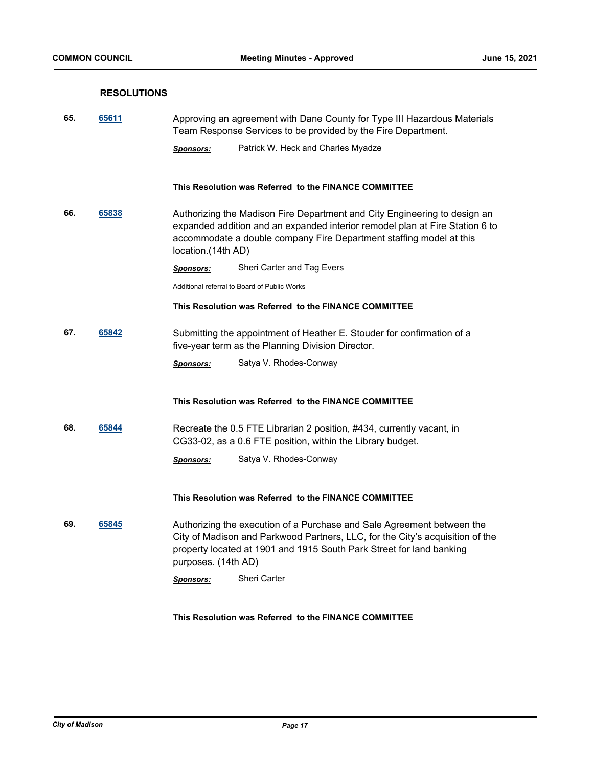## **RESOLUTIONS**

| 65. | 65611 | Approving an agreement with Dane County for Type III Hazardous Materials<br>Team Response Services to be provided by the Fire Department. |                                                                                                                                                                                                                                  |
|-----|-------|-------------------------------------------------------------------------------------------------------------------------------------------|----------------------------------------------------------------------------------------------------------------------------------------------------------------------------------------------------------------------------------|
|     |       | <u>Sponsors:</u>                                                                                                                          | Patrick W. Heck and Charles Myadze                                                                                                                                                                                               |
|     |       |                                                                                                                                           | This Resolution was Referred to the FINANCE COMMITTEE                                                                                                                                                                            |
| 66. | 65838 | location.(14th AD)                                                                                                                        | Authorizing the Madison Fire Department and City Engineering to design an<br>expanded addition and an expanded interior remodel plan at Fire Station 6 to<br>accommodate a double company Fire Department staffing model at this |
|     |       | <u>Sponsors:</u>                                                                                                                          | Sheri Carter and Tag Evers                                                                                                                                                                                                       |
|     |       |                                                                                                                                           | Additional referral to Board of Public Works                                                                                                                                                                                     |
|     |       |                                                                                                                                           | This Resolution was Referred to the FINANCE COMMITTEE                                                                                                                                                                            |
| 67. | 65842 |                                                                                                                                           | Submitting the appointment of Heather E. Stouder for confirmation of a<br>five-year term as the Planning Division Director.                                                                                                      |
|     |       | <b>Sponsors:</b>                                                                                                                          | Satya V. Rhodes-Conway                                                                                                                                                                                                           |
|     |       |                                                                                                                                           | This Resolution was Referred to the FINANCE COMMITTEE                                                                                                                                                                            |
| 68. | 65844 |                                                                                                                                           | Recreate the 0.5 FTE Librarian 2 position, #434, currently vacant, in<br>CG33-02, as a 0.6 FTE position, within the Library budget.                                                                                              |
|     |       | <u>Sponsors:</u>                                                                                                                          | Satya V. Rhodes-Conway                                                                                                                                                                                                           |
|     |       |                                                                                                                                           | This Resolution was Referred to the FINANCE COMMITTEE                                                                                                                                                                            |
| 69. | 65845 | purposes. (14th AD)                                                                                                                       | Authorizing the execution of a Purchase and Sale Agreement between the<br>City of Madison and Parkwood Partners, LLC, for the City's acquisition of the<br>property located at 1901 and 1915 South Park Street for land banking  |
|     |       | <b>Sponsors:</b>                                                                                                                          | <b>Sheri Carter</b>                                                                                                                                                                                                              |
|     |       |                                                                                                                                           |                                                                                                                                                                                                                                  |
|     |       |                                                                                                                                           |                                                                                                                                                                                                                                  |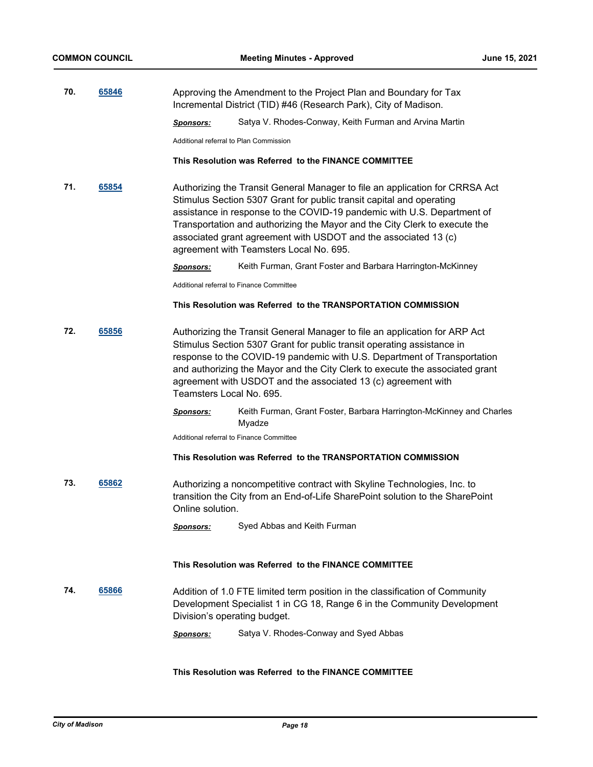| 70. | 65846 | Approving the Amendment to the Project Plan and Boundary for Tax<br>Incremental District (TID) #46 (Research Park), City of Madison. |                                                        |
|-----|-------|--------------------------------------------------------------------------------------------------------------------------------------|--------------------------------------------------------|
|     |       | Sponsors:                                                                                                                            | Satya V. Rhodes-Conway, Keith Furman and Arvina Martin |
|     |       | Additional referral to Plan Commission                                                                                               |                                                        |

#### **This Resolution was Referred to the FINANCE COMMITTEE**

**71. [65854](http://madison.legistar.com/gateway.aspx?m=l&id=/matter.aspx?key=77045)** Authorizing the Transit General Manager to file an application for CRRSA Act Stimulus Section 5307 Grant for public transit capital and operating assistance in response to the COVID-19 pandemic with U.S. Department of Transportation and authorizing the Mayor and the City Clerk to execute the associated grant agreement with USDOT and the associated 13 (c) agreement with Teamsters Local No. 695.

*Sponsors:* Keith Furman, Grant Foster and Barbara Harrington-McKinney

Additional referral to Finance Committee

### **This Resolution was Referred to the TRANSPORTATION COMMISSION**

- **72. [65856](http://madison.legistar.com/gateway.aspx?m=l&id=/matter.aspx?key=77047)** Authorizing the Transit General Manager to file an application for ARP Act Stimulus Section 5307 Grant for public transit operating assistance in response to the COVID-19 pandemic with U.S. Department of Transportation and authorizing the Mayor and the City Clerk to execute the associated grant agreement with USDOT and the associated 13 (c) agreement with Teamsters Local No. 695.
	- *Sponsors:* Keith Furman, Grant Foster, Barbara Harrington-McKinney and Charles Myadze

Additional referral to Finance Committee

### **This Resolution was Referred to the TRANSPORTATION COMMISSION**

**73. [65862](http://madison.legistar.com/gateway.aspx?m=l&id=/matter.aspx?key=77053)** Authorizing a noncompetitive contract with Skyline Technologies, Inc. to transition the City from an End-of-Life SharePoint solution to the SharePoint Online solution.

*Sponsors:* Syed Abbas and Keith Furman

#### **This Resolution was Referred to the FINANCE COMMITTEE**

- **74. [65866](http://madison.legistar.com/gateway.aspx?m=l&id=/matter.aspx?key=77057)** Addition of 1.0 FTE limited term position in the classification of Community Development Specialist 1 in CG 18, Range 6 in the Community Development Division's operating budget.
	- *Sponsors:* Satya V. Rhodes-Conway and Syed Abbas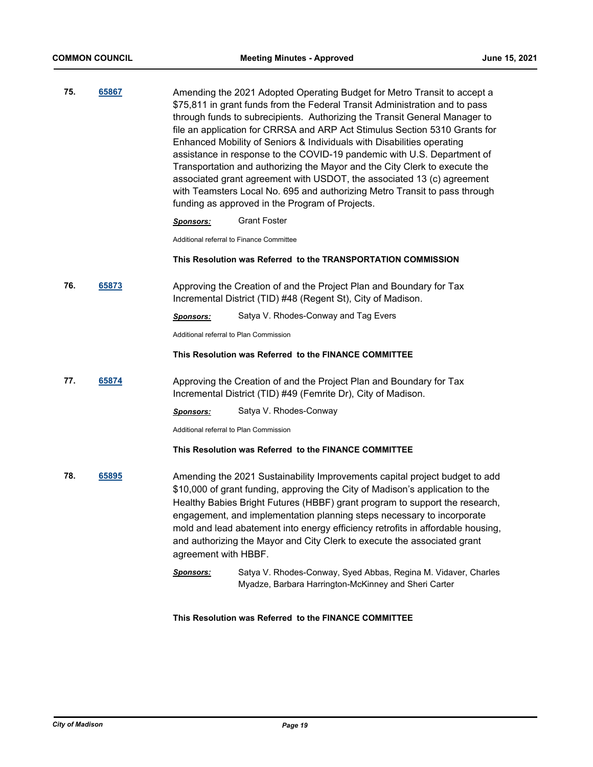**75. [65867](http://madison.legistar.com/gateway.aspx?m=l&id=/matter.aspx?key=77058)** Amending the 2021 Adopted Operating Budget for Metro Transit to accept a \$75,811 in grant funds from the Federal Transit Administration and to pass through funds to subrecipients. Authorizing the Transit General Manager to file an application for CRRSA and ARP Act Stimulus Section 5310 Grants for Enhanced Mobility of Seniors & Individuals with Disabilities operating assistance in response to the COVID-19 pandemic with U.S. Department of Transportation and authorizing the Mayor and the City Clerk to execute the associated grant agreement with USDOT, the associated 13 (c) agreement with Teamsters Local No. 695 and authorizing Metro Transit to pass through funding as approved in the Program of Projects.

*Sponsors:* Grant Foster

Additional referral to Finance Committee

### **This Resolution was Referred to the TRANSPORTATION COMMISSION**

**76. [65873](http://madison.legistar.com/gateway.aspx?m=l&id=/matter.aspx?key=77064)** Approving the Creation of and the Project Plan and Boundary for Tax Incremental District (TID) #48 (Regent St), City of Madison.

*Sponsors:* Satya V. Rhodes-Conway and Tag Evers

Additional referral to Plan Commission

### **This Resolution was Referred to the FINANCE COMMITTEE**

**77. [65874](http://madison.legistar.com/gateway.aspx?m=l&id=/matter.aspx?key=77065)** Approving the Creation of and the Project Plan and Boundary for Tax Incremental District (TID) #49 (Femrite Dr), City of Madison.

*Sponsors:* Satya V. Rhodes-Conway

Additional referral to Plan Commission

### **This Resolution was Referred to the FINANCE COMMITTEE**

- **78. [65895](http://madison.legistar.com/gateway.aspx?m=l&id=/matter.aspx?key=77084)** Amending the 2021 Sustainability Improvements capital project budget to add \$10,000 of grant funding, approving the City of Madison's application to the Healthy Babies Bright Futures (HBBF) grant program to support the research, engagement, and implementation planning steps necessary to incorporate mold and lead abatement into energy efficiency retrofits in affordable housing, and authorizing the Mayor and City Clerk to execute the associated grant agreement with HBBF.
	- *Sponsors:* Satya V. Rhodes-Conway, Syed Abbas, Regina M. Vidaver, Charles Myadze, Barbara Harrington-McKinney and Sheri Carter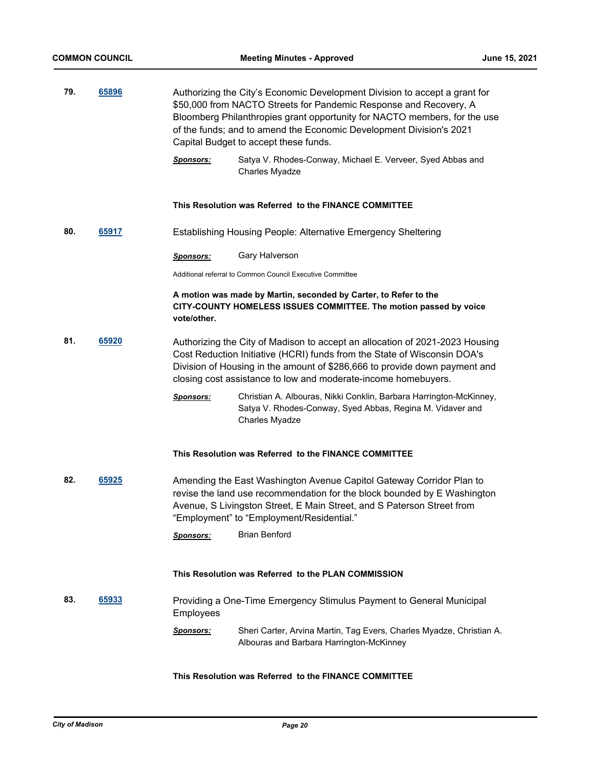| 79. | 65896 | Authorizing the City's Economic Development Division to accept a grant for<br>\$50,000 from NACTO Streets for Pandemic Response and Recovery, A<br>Bloomberg Philanthropies grant opportunity for NACTO members, for the use<br>of the funds; and to amend the Economic Development Division's 2021<br>Capital Budget to accept these funds. |                                                                                                                                                                                                                                                                                                          |  |
|-----|-------|----------------------------------------------------------------------------------------------------------------------------------------------------------------------------------------------------------------------------------------------------------------------------------------------------------------------------------------------|----------------------------------------------------------------------------------------------------------------------------------------------------------------------------------------------------------------------------------------------------------------------------------------------------------|--|
|     |       | <b>Sponsors:</b>                                                                                                                                                                                                                                                                                                                             | Satya V. Rhodes-Conway, Michael E. Verveer, Syed Abbas and<br>Charles Myadze                                                                                                                                                                                                                             |  |
|     |       |                                                                                                                                                                                                                                                                                                                                              | This Resolution was Referred to the FINANCE COMMITTEE                                                                                                                                                                                                                                                    |  |
| 80. | 65917 | <b>Establishing Housing People: Alternative Emergency Sheltering</b>                                                                                                                                                                                                                                                                         |                                                                                                                                                                                                                                                                                                          |  |
|     |       | <b>Sponsors:</b>                                                                                                                                                                                                                                                                                                                             | Gary Halverson                                                                                                                                                                                                                                                                                           |  |
|     |       | Additional referral to Common Council Executive Committee                                                                                                                                                                                                                                                                                    |                                                                                                                                                                                                                                                                                                          |  |
|     |       | A motion was made by Martin, seconded by Carter, to Refer to the<br>CITY-COUNTY HOMELESS ISSUES COMMITTEE. The motion passed by voice<br>vote/other.                                                                                                                                                                                         |                                                                                                                                                                                                                                                                                                          |  |
| 81. | 65920 |                                                                                                                                                                                                                                                                                                                                              | Authorizing the City of Madison to accept an allocation of 2021-2023 Housing<br>Cost Reduction Initiative (HCRI) funds from the State of Wisconsin DOA's<br>Division of Housing in the amount of \$286,666 to provide down payment and<br>closing cost assistance to low and moderate-income homebuyers. |  |
|     |       | <b>Sponsors:</b>                                                                                                                                                                                                                                                                                                                             | Christian A. Albouras, Nikki Conklin, Barbara Harrington-McKinney,<br>Satya V. Rhodes-Conway, Syed Abbas, Regina M. Vidaver and<br>Charles Myadze                                                                                                                                                        |  |
|     |       | This Resolution was Referred to the FINANCE COMMITTEE                                                                                                                                                                                                                                                                                        |                                                                                                                                                                                                                                                                                                          |  |
| 82. | 65925 | Amending the East Washington Avenue Capitol Gateway Corridor Plan to<br>revise the land use recommendation for the block bounded by E Washington<br>Avenue, S Livingston Street, E Main Street, and S Paterson Street from<br>"Employment" to "Employment/Residential."                                                                      |                                                                                                                                                                                                                                                                                                          |  |
|     |       | <b>Sponsors:</b>                                                                                                                                                                                                                                                                                                                             | <b>Brian Benford</b>                                                                                                                                                                                                                                                                                     |  |
|     |       |                                                                                                                                                                                                                                                                                                                                              |                                                                                                                                                                                                                                                                                                          |  |
|     |       | This Resolution was Referred to the PLAN COMMISSION                                                                                                                                                                                                                                                                                          |                                                                                                                                                                                                                                                                                                          |  |
| 83. | 65933 | Providing a One-Time Emergency Stimulus Payment to General Municipal<br><b>Employees</b>                                                                                                                                                                                                                                                     |                                                                                                                                                                                                                                                                                                          |  |
|     |       | Sponsors:                                                                                                                                                                                                                                                                                                                                    | Sheri Carter, Arvina Martin, Tag Evers, Charles Myadze, Christian A.<br>Albouras and Barbara Harrington-McKinney                                                                                                                                                                                         |  |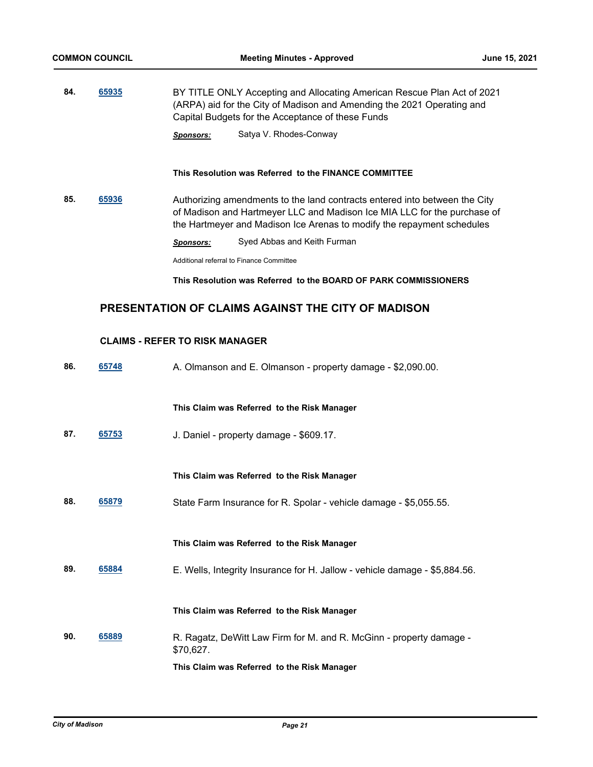**84. [65935](http://madison.legistar.com/gateway.aspx?m=l&id=/matter.aspx?key=77117)** BY TITLE ONLY Accepting and Allocating American Rescue Plan Act of 2021 (ARPA) aid for the City of Madison and Amending the 2021 Operating and Capital Budgets for the Acceptance of these Funds

*Sponsors:* Satya V. Rhodes-Conway

### **This Resolution was Referred to the FINANCE COMMITTEE**

**85. [65936](http://madison.legistar.com/gateway.aspx?m=l&id=/matter.aspx?key=77118)** Authorizing amendments to the land contracts entered into between the City of Madison and Hartmeyer LLC and Madison Ice MIA LLC for the purchase of the Hartmeyer and Madison Ice Arenas to modify the repayment schedules

*Sponsors:* Syed Abbas and Keith Furman

Additional referral to Finance Committee

### **This Resolution was Referred to the BOARD OF PARK COMMISSIONERS**

# **PRESENTATION OF CLAIMS AGAINST THE CITY OF MADISON**

### **CLAIMS - REFER TO RISK MANAGER**

**86. [65748](http://madison.legistar.com/gateway.aspx?m=l&id=/matter.aspx?key=76952)** A. Olmanson and E. Olmanson - property damage - \$2,090.00. **This Claim was Referred to the Risk Manager 87. [65753](http://madison.legistar.com/gateway.aspx?m=l&id=/matter.aspx?key=76955)** J. Daniel - property damage - \$609.17. **This Claim was Referred to the Risk Manager 88. [65879](http://madison.legistar.com/gateway.aspx?m=l&id=/matter.aspx?key=77070)** State Farm Insurance for R. Spolar - vehicle damage - \$5,055.55. **This Claim was Referred to the Risk Manager 89. [65884](http://madison.legistar.com/gateway.aspx?m=l&id=/matter.aspx?key=77075)** E. Wells, Integrity Insurance for H. Jallow - vehicle damage - \$5,884.56. **This Claim was Referred to the Risk Manager 90. [65889](http://madison.legistar.com/gateway.aspx?m=l&id=/matter.aspx?key=77077)** R. Ragatz, DeWitt Law Firm for M. and R. McGinn - property damage - \$70,627. **This Claim was Referred to the Risk Manager**